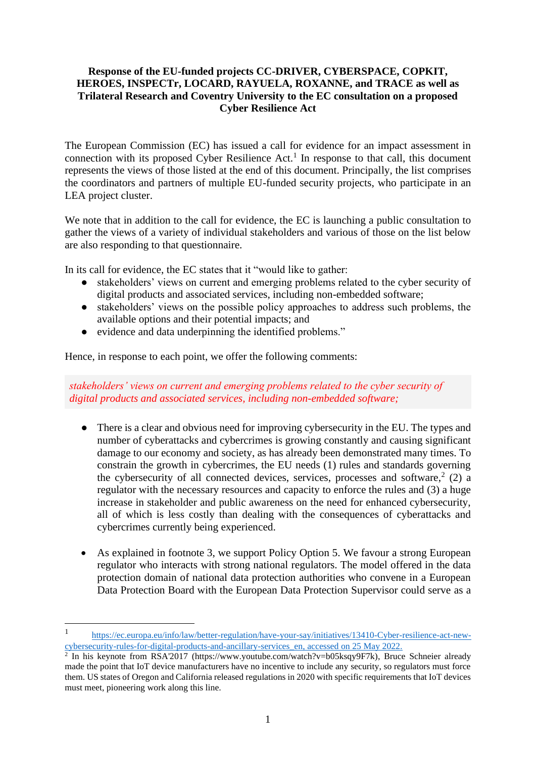## **Response of the EU-funded projects CC-DRIVER, CYBERSPACE, COPKIT, HEROES, INSPECTr, LOCARD, RAYUELA, ROXANNE, and TRACE as well as Trilateral Research and Coventry University to the EC consultation on a proposed Cyber Resilience Act**

The European Commission (EC) has issued a call for evidence for an impact assessment in connection with its proposed Cyber Resilience  $Act<sup>1</sup>$  In response to that call, this document represents the views of those listed at the end of this document. Principally, the list comprises the coordinators and partners of multiple EU-funded security projects, who participate in an LEA project cluster.

We note that in addition to the call for evidence, the EC is launching a public consultation to gather the views of a variety of individual stakeholders and various of those on the list below are also responding to that questionnaire.

In its call for evidence, the EC states that it "would like to gather:

- stakeholders' views on current and emerging problems related to the cyber security of digital products and associated services, including non-embedded software;
- stakeholders' views on the possible policy approaches to address such problems, the available options and their potential impacts; and
- evidence and data underpinning the identified problems."

Hence, in response to each point, we offer the following comments:

*stakeholders' views on current and emerging problems related to the cyber security of digital products and associated services, including non-embedded software;*

- There is a clear and obvious need for improving cybersecurity in the EU. The types and number of cyberattacks and cybercrimes is growing constantly and causing significant damage to our economy and society, as has already been demonstrated many times. To constrain the growth in cybercrimes, the EU needs (1) rules and standards governing the cybersecurity of all connected devices, services, processes and software, 2 (2) a regulator with the necessary resources and capacity to enforce the rules and (3) a huge increase in stakeholder and public awareness on the need for enhanced cybersecurity, all of which is less costly than dealing with the consequences of cyberattacks and cybercrimes currently being experienced.
- As explained in footnote 3, we support Policy Option 5. We favour a strong European regulator who interacts with strong national regulators. The model offered in the data protection domain of national data protection authorities who convene in a European Data Protection Board with the European Data Protection Supervisor could serve as a

<sup>1</sup> [https://ec.europa.eu/info/law/better-regulation/have-your-say/initiatives/13410-Cyber-resilience-act-new-](https://ec.europa.eu/info/law/better-regulation/have-your-say/initiatives/13410-Cyber-resilience-act-new-cybersecurity-rules-for-digital-products-and-ancillary-services_en)

[cybersecurity-rules-for-digital-products-and-ancillary-services\\_en,](https://ec.europa.eu/info/law/better-regulation/have-your-say/initiatives/13410-Cyber-resilience-act-new-cybersecurity-rules-for-digital-products-and-ancillary-services_en) accessed on 25 May 2022.<br><sup>2</sup> In his keynote from RSA'2017 (https://www.youtube.com/watch?v=b05ksqy9F7k), Bruce Schneier already made the point that IoT device manufacturers have no incentive to include any security, so regulators must force them. US states of Oregon and California released regulations in 2020 with specific requirements that IoT devices must meet, pioneering work along this line.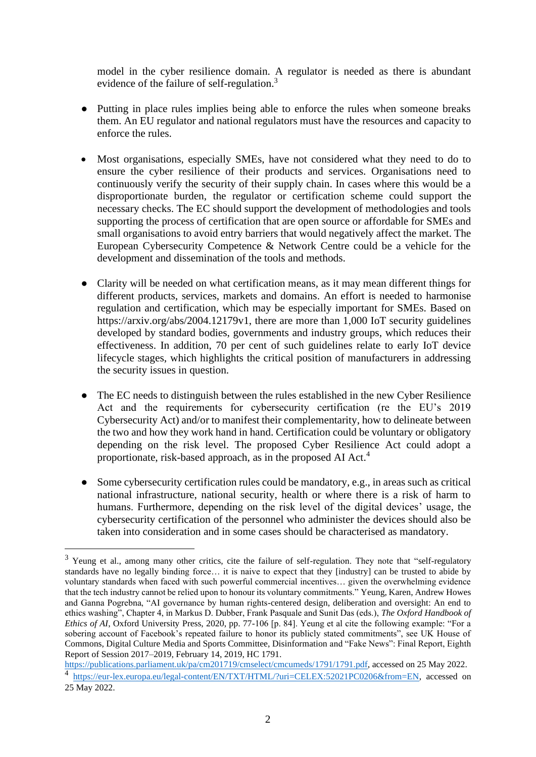model in the cyber resilience domain. A regulator is needed as there is abundant evidence of the failure of self-regulation.<sup>3</sup>

- Putting in place rules implies being able to enforce the rules when someone breaks them. An EU regulator and national regulators must have the resources and capacity to enforce the rules.
- Most organisations, especially SMEs, have not considered what they need to do to ensure the cyber resilience of their products and services. Organisations need to continuously verify the security of their supply chain. In cases where this would be a disproportionate burden, the regulator or certification scheme could support the necessary checks. The EC should support the development of methodologies and tools supporting the process of certification that are open source or affordable for SMEs and small organisations to avoid entry barriers that would negatively affect the market. The European Cybersecurity Competence & Network Centre could be a vehicle for the development and dissemination of the tools and methods.
- Clarity will be needed on what certification means, as it may mean different things for different products, services, markets and domains. An effort is needed to harmonise regulation and certification, which may be especially important for SMEs. Based on https://arxiv.org/abs/2004.12179v1, there are more than 1,000 IoT security guidelines developed by standard bodies, governments and industry groups, which reduces their effectiveness. In addition, 70 per cent of such guidelines relate to early IoT device lifecycle stages, which highlights the critical position of manufacturers in addressing the security issues in question.
- The EC needs to distinguish between the rules established in the new Cyber Resilience Act and the requirements for cybersecurity certification (re the EU's 2019 Cybersecurity Act) and/or to manifest their complementarity, how to delineate between the two and how they work hand in hand. Certification could be voluntary or obligatory depending on the risk level. The proposed Cyber Resilience Act could adopt a proportionate, risk-based approach, as in the proposed AI Act.<sup>4</sup>
- Some cybersecurity certification rules could be mandatory, e.g., in areas such as critical national infrastructure, national security, health or where there is a risk of harm to humans. Furthermore, depending on the risk level of the digital devices' usage, the cybersecurity certification of the personnel who administer the devices should also be taken into consideration and in some cases should be characterised as mandatory.

<sup>&</sup>lt;sup>3</sup> Yeung et al., among many other critics, cite the failure of self-regulation. They note that "self-regulatory standards have no legally binding force… it is naive to expect that they [industry] can be trusted to abide by voluntary standards when faced with such powerful commercial incentives… given the overwhelming evidence that the tech industry cannot be relied upon to honour its voluntary commitments." Yeung, Karen, Andrew Howes and Ganna Pogrebna, "AI governance by human rights-centered design, deliberation and oversight: An end to ethics washing", Chapter 4, in Markus D. Dubber, Frank Pasquale and Sunit Das (eds.), *The Oxford Handbook of Ethics of AI*, Oxford University Press, 2020, pp. 77-106 [p. 84]. Yeung et al cite the following example: "For a sobering account of Facebook's repeated failure to honor its publicly stated commitments", see UK House of Commons, Digital Culture Media and Sports Committee, Disinformation and "Fake News": Final Report, Eighth Report of Session 2017–2019, February 14, 2019, HC 1791.

[https://publications.parliament.uk/pa/cm201719/cmselect/cmcumeds/1791/1791.pdf,](https://publications.parliament.uk/pa/cm201719/cmselect/cmcumeds/1791/1791.pdf) accessed on 25 May 2022. <sup>4</sup> [https://eur-lex.europa.eu/legal-content/EN/TXT/HTML/?uri=CELEX:52021PC0206&from=EN,](https://eur-lex.europa.eu/legal-content/EN/TXT/HTML/?uri=CELEX:52021PC0206&from=EN) accessed on 25 May 2022.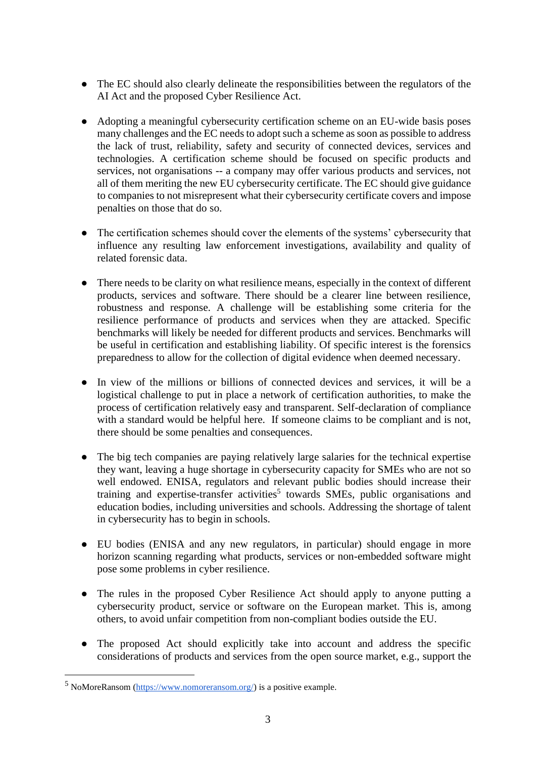- The EC should also clearly delineate the responsibilities between the regulators of the AI Act and the proposed Cyber Resilience Act.
- Adopting a meaningful cybersecurity certification scheme on an EU-wide basis poses many challenges and the EC needs to adopt such a scheme as soon as possible to address the lack of trust, reliability, safety and security of connected devices, services and technologies. A certification scheme should be focused on specific products and services, not organisations -- a company may offer various products and services, not all of them meriting the new EU cybersecurity certificate. The EC should give guidance to companies to not misrepresent what their cybersecurity certificate covers and impose penalties on those that do so.
- The certification schemes should cover the elements of the systems' cybersecurity that influence any resulting law enforcement investigations, availability and quality of related forensic data.
- There needs to be clarity on what resilience means, especially in the context of different products, services and software. There should be a clearer line between resilience, robustness and response. A challenge will be establishing some criteria for the resilience performance of products and services when they are attacked. Specific benchmarks will likely be needed for different products and services. Benchmarks will be useful in certification and establishing liability. Of specific interest is the forensics preparedness to allow for the collection of digital evidence when deemed necessary.
- In view of the millions or billions of connected devices and services, it will be a logistical challenge to put in place a network of certification authorities, to make the process of certification relatively easy and transparent. Self-declaration of compliance with a standard would be helpful here. If someone claims to be compliant and is not, there should be some penalties and consequences.
- The big tech companies are paying relatively large salaries for the technical expertise they want, leaving a huge shortage in cybersecurity capacity for SMEs who are not so well endowed. ENISA, regulators and relevant public bodies should increase their training and expertise-transfer activities<sup>5</sup> towards SMEs, public organisations and education bodies, including universities and schools. Addressing the shortage of talent in cybersecurity has to begin in schools.
- EU bodies (ENISA and any new regulators, in particular) should engage in more horizon scanning regarding what products, services or non-embedded software might pose some problems in cyber resilience.
- The rules in the proposed Cyber Resilience Act should apply to anyone putting a cybersecurity product, service or software on the European market. This is, among others, to avoid unfair competition from non-compliant bodies outside the EU.
- The proposed Act should explicitly take into account and address the specific considerations of products and services from the open source market, e.g., support the

<sup>5</sup> NoMoreRansom [\(https://www.nomoreransom.org/\)](https://www.nomoreransom.org/) is a positive example.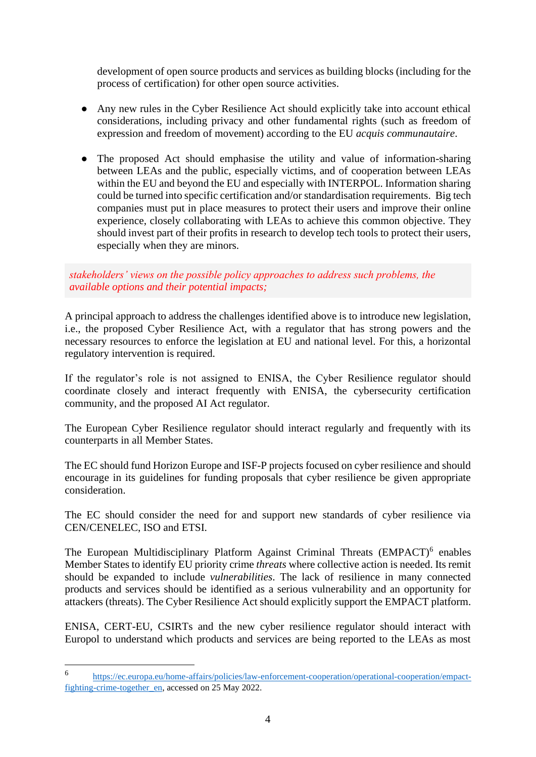development of open source products and services as building blocks (including for the process of certification) for other open source activities.

- Any new rules in the Cyber Resilience Act should explicitly take into account ethical considerations, including privacy and other fundamental rights (such as freedom of expression and freedom of movement) according to the EU *acquis communautaire*.
- The proposed Act should emphasise the utility and value of information-sharing between LEAs and the public, especially victims, and of cooperation between LEAs within the EU and beyond the EU and especially with INTERPOL. Information sharing could be turned into specific certification and/or standardisation requirements. Big tech companies must put in place measures to protect their users and improve their online experience, closely collaborating with LEAs to achieve this common objective. They should invest part of their profits in research to develop tech tools to protect their users, especially when they are minors.

*stakeholders' views on the possible policy approaches to address such problems, the available options and their potential impacts;* 

A principal approach to address the challenges identified above is to introduce new legislation, i.e., the proposed Cyber Resilience Act, with a regulator that has strong powers and the necessary resources to enforce the legislation at EU and national level. For this, a horizontal regulatory intervention is required.

If the regulator's role is not assigned to ENISA, the Cyber Resilience regulator should coordinate closely and interact frequently with ENISA, the cybersecurity certification community, and the proposed AI Act regulator.

The European Cyber Resilience regulator should interact regularly and frequently with its counterparts in all Member States.

The EC should fund Horizon Europe and ISF-P projects focused on cyber resilience and should encourage in its guidelines for funding proposals that cyber resilience be given appropriate consideration.

The EC should consider the need for and support new standards of cyber resilience via CEN/CENELEC, ISO and ETSI.

The European Multidisciplinary Platform Against Criminal Threats (EMPACT)<sup>6</sup> enables Member States to identify EU priority crime *threats* where collective action is needed. Its remit should be expanded to include *vulnerabilities*. The lack of resilience in many connected products and services should be identified as a serious vulnerability and an opportunity for attackers (threats). The Cyber Resilience Act should explicitly support the EMPACT platform.

ENISA, CERT-EU, CSIRTs and the new cyber resilience regulator should interact with Europol to understand which products and services are being reported to the LEAs as most

<sup>6</sup> [https://ec.europa.eu/home-affairs/policies/law-enforcement-cooperation/operational-cooperation/empact](https://ec.europa.eu/home-affairs/policies/law-enforcement-cooperation/operational-cooperation/empact-fighting-crime-together_en)[fighting-crime-together\\_en,](https://ec.europa.eu/home-affairs/policies/law-enforcement-cooperation/operational-cooperation/empact-fighting-crime-together_en) accessed on 25 May 2022.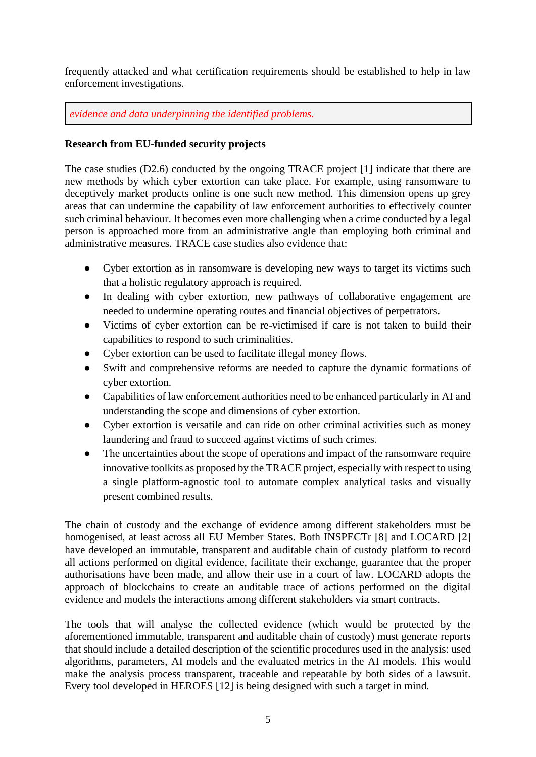frequently attacked and what certification requirements should be established to help in law enforcement investigations.

*evidence and data underpinning the identified problems.*

## **Research from EU-funded security projects**

The case studies (D2.6) conducted by the ongoing TRACE project [1] indicate that there are new methods by which cyber extortion can take place. For example, using ransomware to deceptively market products online is one such new method. This dimension opens up grey areas that can undermine the capability of law enforcement authorities to effectively counter such criminal behaviour. It becomes even more challenging when a crime conducted by a legal person is approached more from an administrative angle than employing both criminal and administrative measures. TRACE case studies also evidence that:

- Cyber extortion as in ransomware is developing new ways to target its victims such that a holistic regulatory approach is required.
- In dealing with cyber extortion, new pathways of collaborative engagement are needed to undermine operating routes and financial objectives of perpetrators.
- Victims of cyber extortion can be re-victimised if care is not taken to build their capabilities to respond to such criminalities.
- Cyber extortion can be used to facilitate illegal money flows.
- Swift and comprehensive reforms are needed to capture the dynamic formations of cyber extortion.
- Capabilities of law enforcement authorities need to be enhanced particularly in AI and understanding the scope and dimensions of cyber extortion.
- Cyber extortion is versatile and can ride on other criminal activities such as money laundering and fraud to succeed against victims of such crimes.
- The uncertainties about the scope of operations and impact of the ransomware require innovative toolkits as proposed by the TRACE project, especially with respect to using a single platform-agnostic tool to automate complex analytical tasks and visually present combined results.

The chain of custody and the exchange of evidence among different stakeholders must be homogenised, at least across all EU Member States. Both INSPECTr [8] and LOCARD [2] have developed an immutable, transparent and auditable chain of custody platform to record all actions performed on digital evidence, facilitate their exchange, guarantee that the proper authorisations have been made, and allow their use in a court of law. LOCARD adopts the approach of blockchains to create an auditable trace of actions performed on the digital evidence and models the interactions among different stakeholders via smart contracts.

The tools that will analyse the collected evidence (which would be protected by the aforementioned immutable, transparent and auditable chain of custody) must generate reports that should include a detailed description of the scientific procedures used in the analysis: used algorithms, parameters, AI models and the evaluated metrics in the AI models. This would make the analysis process transparent, traceable and repeatable by both sides of a lawsuit. Every tool developed in HEROES [12] is being designed with such a target in mind.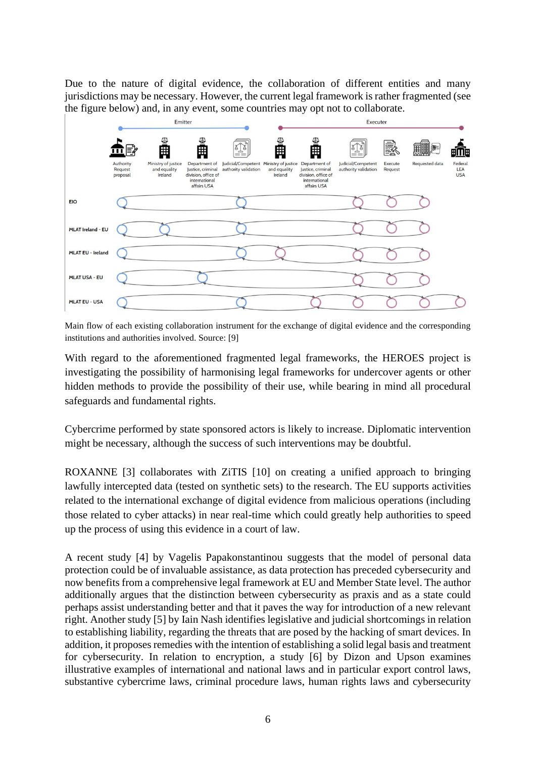Due to the nature of digital evidence, the collaboration of different entities and many jurisdictions may be necessary. However, the current legal framework is rather fragmented (see the figure below) and, in any event, some countries may opt not to collaborate.



Main flow of each existing collaboration instrument for the exchange of digital evidence and the corresponding institutions and authorities involved. Source: [9]

With regard to the aforementioned fragmented legal frameworks, the HEROES project is investigating the possibility of harmonising legal frameworks for undercover agents or other hidden methods to provide the possibility of their use, while bearing in mind all procedural safeguards and fundamental rights.

Cybercrime performed by state sponsored actors is likely to increase. Diplomatic intervention might be necessary, although the success of such interventions may be doubtful.

ROXANNE [3] collaborates with ZiTIS [10] on creating a unified approach to bringing lawfully intercepted data (tested on synthetic sets) to the research. The EU supports activities related to the international exchange of digital evidence from malicious operations (including those related to cyber attacks) in near real-time which could greatly help authorities to speed up the process of using this evidence in a court of law.

A recent study [4] by Vagelis Papakonstantinou suggests that the model of personal data protection could be of invaluable assistance, as data protection has preceded cybersecurity and now benefits from a comprehensive legal framework at EU and Member State level. The author additionally argues that the distinction between cybersecurity as praxis and as a state could perhaps assist understanding better and that it paves the way for introduction of a new relevant right. Another study [5] by Iain Nash identifies legislative and judicial shortcomings in relation to establishing liability, regarding the threats that are posed by the hacking of smart devices. In addition, it proposes remedies with the intention of establishing a solid legal basis and treatment for cybersecurity. In relation to encryption, a study [6] by Dizon and Upson examines illustrative examples of international and national laws and in particular export control laws, substantive cybercrime laws, criminal procedure laws, human rights laws and cybersecurity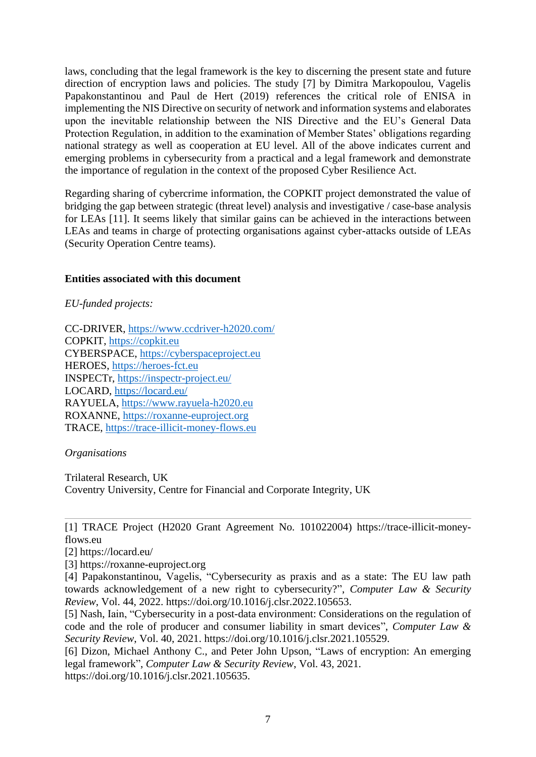laws, concluding that the legal framework is the key to discerning the present state and future direction of encryption laws and policies. The study [7] by Dimitra Markopoulou, Vagelis Papakonstantinou and Paul de Hert (2019) references the critical role of ENISA in implementing the NIS Directive on security of network and information systems and elaborates upon the inevitable relationship between the NIS Directive and the EU's General Data Protection Regulation, in addition to the examination of Member States' obligations regarding national strategy as well as cooperation at EU level. All of the above indicates current and emerging problems in cybersecurity from a practical and a legal framework and demonstrate the importance of regulation in the context of the proposed Cyber Resilience Act.

Regarding sharing of cybercrime information, the COPKIT project demonstrated the value of bridging the gap between strategic (threat level) analysis and investigative / case-base analysis for LEAs [11]. It seems likely that similar gains can be achieved in the interactions between LEAs and teams in charge of protecting organisations against cyber-attacks outside of LEAs (Security Operation Centre teams).

## **Entities associated with this document**

*EU-funded projects:*

CC-DRIVER,<https://www.ccdriver-h2020.com/> COPKIT, [https://copkit.eu](https://copkit.eu/) CYBERSPACE, [https://cyberspaceproject.eu](https://cyberspaceproject.eu/) HEROES, [https://heroes-fct.eu](https://heroes-fct.eu/) INSPECTr,<https://inspectr-project.eu/> LOCARD,<https://locard.eu/> RAYUELA, [https://www.rayuela-h2020.eu](https://www.rayuela-h2020.eu/) ROXANNE, [https://roxanne-euproject.org](https://roxanne-euproject.org/) TRACE, [https://trace-illicit-money-flows.eu](https://trace-illicit-money-flows.eu/)

*Organisations*

Trilateral Research, UK Coventry University, Centre for Financial and Corporate Integrity, UK

[1] TRACE Project (H2020 Grant Agreement No. 101022004) [https://trace-illicit-money](https://trace-illicit-money-flows.eu/)[flows.eu](https://trace-illicit-money-flows.eu/)

[2]<https://locard.eu/>

[3] https://roxanne-euproject.org

[4] Papakonstantinou, Vagelis, "Cybersecurity as praxis and as a state: The EU law path towards acknowledgement of a new right to cybersecurity?", *Computer Law & Security Review*, Vol. 44, 2022. https://doi.org/10.1016/j.clsr.2022.105653.

[5] Nash, Iain, "Cybersecurity in a post-data environment: Considerations on the regulation of code and the role of producer and consumer liability in smart devices", *Computer Law & Security Review*, Vol. 40, 2021. https://doi.org/10.1016/j.clsr.2021.105529.

[6] Dizon, Michael Anthony C., and Peter John Upson, "Laws of encryption: An emerging legal framework", *Computer Law & Security Review*, Vol. 43, 2021.

https://doi.org/10.1016/j.clsr.2021.105635.